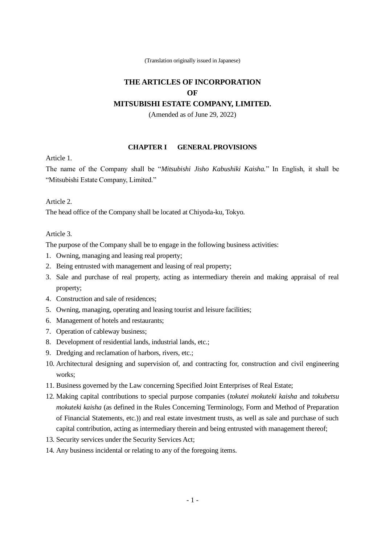(Translation originally issued in Japanese)

# **THE ARTICLES OF INCORPORATION OF**

## **MITSUBISHI ESTATE COMPANY, LIMITED.**

(Amended as of June 29, 2022)

#### **CHAPTER I GENERAL PROVISIONS**

Article 1.

The name of the Company shall be "*Mitsubishi Jisho Kabushiki Kaisha.*" In English, it shall be "Mitsubishi Estate Company, Limited."

Article 2.

The head office of the Company shall be located at Chiyoda-ku, Tokyo.

Article 3.

The purpose of the Company shall be to engage in the following business activities:

- 1. Owning, managing and leasing real property;
- 2. Being entrusted with management and leasing of real property;
- 3. Sale and purchase of real property, acting as intermediary therein and making appraisal of real property;
- 4. Construction and sale of residences;
- 5. Owning, managing, operating and leasing tourist and leisure facilities;
- 6. Management of hotels and restaurants;
- 7. Operation of cableway business;
- 8. Development of residential lands, industrial lands, etc.;
- 9. Dredging and reclamation of harbors, rivers, etc.;
- 10. Architectural designing and supervision of, and contracting for, construction and civil engineering works;
- 11. Business governed by the Law concerning Specified Joint Enterprises of Real Estate;
- 12. Making capital contributions to special purpose companies (*tokutei mokuteki kaisha* and *tokubetsu mokuteki kaisha* (as defined in the Rules Concerning Terminology, Form and Method of Preparation of Financial Statements, etc.)) and real estate investment trusts, as well as sale and purchase of such capital contribution, acting as intermediary therein and being entrusted with management thereof;
- 13. Security services under the Security Services Act;
- 14. Any business incidental or relating to any of the foregoing items.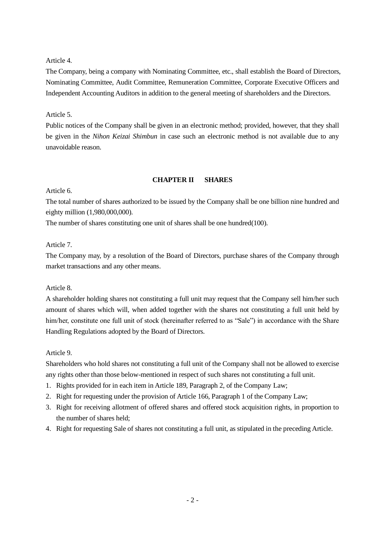## Article 4.

The Company, being a company with Nominating Committee, etc., shall establish the Board of Directors, Nominating Committee, Audit Committee, Remuneration Committee, Corporate Executive Officers and Independent Accounting Auditors in addition to the general meeting of shareholders and the Directors.

## Article 5.

Public notices of the Company shall be given in an electronic method; provided, however, that they shall be given in the *Nihon Keizai Shimbun* in case such an electronic method is not available due to any unavoidable reason.

## **CHAPTER II SHARES**

## Article 6.

The total number of shares authorized to be issued by the Company shall be one billion nine hundred and eighty million (1,980,000,000).

The number of shares constituting one unit of shares shall be one hundred(100).

## Article 7.

The Company may, by a resolution of the Board of Directors, purchase shares of the Company through market transactions and any other means.

## Article 8.

A shareholder holding shares not constituting a full unit may request that the Company sell him/her such amount of shares which will, when added together with the shares not constituting a full unit held by him/her, constitute one full unit of stock (hereinafter referred to as "Sale") in accordance with the Share Handling Regulations adopted by the Board of Directors.

## Article 9.

Shareholders who hold shares not constituting a full unit of the Company shall not be allowed to exercise any rights other than those below-mentioned in respect of such shares not constituting a full unit.

- 1. Rights provided for in each item in Article 189, Paragraph 2, of the Company Law;
- 2. Right for requesting under the provision of Article 166, Paragraph 1 of the Company Law;
- 3. Right for receiving allotment of offered shares and offered stock acquisition rights, in proportion to the number of shares held;
- 4. Right for requesting Sale of shares not constituting a full unit, as stipulated in the preceding Article.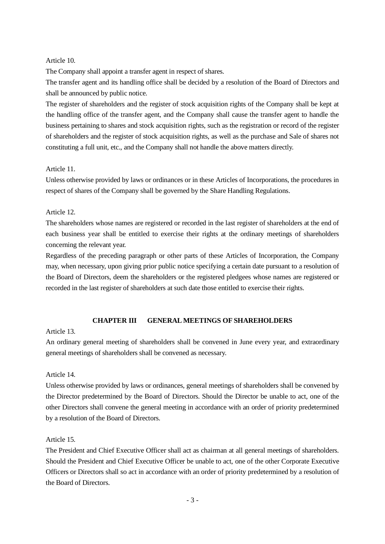## Article 10.

The Company shall appoint a transfer agent in respect of shares.

The transfer agent and its handling office shall be decided by a resolution of the Board of Directors and shall be announced by public notice.

The register of shareholders and the register of stock acquisition rights of the Company shall be kept at the handling office of the transfer agent, and the Company shall cause the transfer agent to handle the business pertaining to shares and stock acquisition rights, such as the registration or record of the register of shareholders and the register of stock acquisition rights, as well as the purchase and Sale of shares not constituting a full unit, etc., and the Company shall not handle the above matters directly.

## Article 11.

Unless otherwise provided by laws or ordinances or in these Articles of Incorporations, the procedures in respect of shares of the Company shall be governed by the Share Handling Regulations.

## Article 12.

The shareholders whose names are registered or recorded in the last register of shareholders at the end of each business year shall be entitled to exercise their rights at the ordinary meetings of shareholders concerning the relevant year.

Regardless of the preceding paragraph or other parts of these Articles of Incorporation, the Company may, when necessary, upon giving prior public notice specifying a certain date pursuant to a resolution of the Board of Directors, deem the shareholders or the registered pledgees whose names are registered or recorded in the last register of shareholders at such date those entitled to exercise their rights.

## **CHAPTER III GENERAL MEETINGS OF SHAREHOLDERS**

#### Article 13.

An ordinary general meeting of shareholders shall be convened in June every year, and extraordinary general meetings of shareholders shall be convened as necessary.

## Article 14.

Unless otherwise provided by laws or ordinances, general meetings of shareholders shall be convened by the Director predetermined by the Board of Directors. Should the Director be unable to act, one of the other Directors shall convene the general meeting in accordance with an order of priority predetermined by a resolution of the Board of Directors.

## Article 15.

The President and Chief Executive Officer shall act as chairman at all general meetings of shareholders. Should the President and Chief Executive Officer be unable to act, one of the other Corporate Executive Officers or Directors shall so act in accordance with an order of priority predetermined by a resolution of the Board of Directors.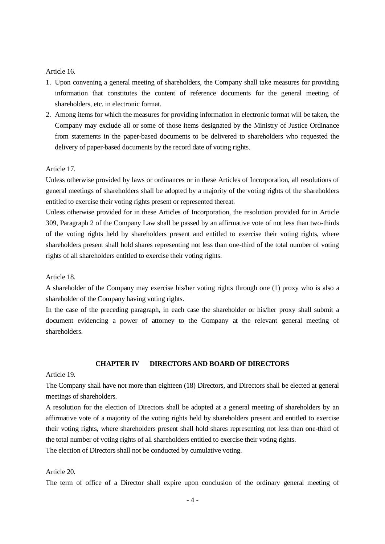#### Article 16.

- 1. Upon convening a general meeting of shareholders, the Company shall take measures for providing information that constitutes the content of reference documents for the general meeting of shareholders, etc. in electronic format.
- 2. Among items for which the measures for providing information in electronic format will be taken, the Company may exclude all or some of those items designated by the Ministry of Justice Ordinance from statements in the paper-based documents to be delivered to shareholders who requested the delivery of paper-based documents by the record date of voting rights.

#### Article 17.

Unless otherwise provided by laws or ordinances or in these Articles of Incorporation, all resolutions of general meetings of shareholders shall be adopted by a majority of the voting rights of the shareholders entitled to exercise their voting rights present or represented thereat.

Unless otherwise provided for in these Articles of Incorporation, the resolution provided for in Article 309, Paragraph 2 of the Company Law shall be passed by an affirmative vote of not less than two-thirds of the voting rights held by shareholders present and entitled to exercise their voting rights, where shareholders present shall hold shares representing not less than one-third of the total number of voting rights of all shareholders entitled to exercise their voting rights.

#### Article 18.

A shareholder of the Company may exercise his/her voting rights through one (1) proxy who is also a shareholder of the Company having voting rights.

In the case of the preceding paragraph, in each case the shareholder or his/her proxy shall submit a document evidencing a power of attorney to the Company at the relevant general meeting of shareholders.

## **CHAPTER IV DIRECTORS AND BOARD OF DIRECTORS**

#### Article 19.

The Company shall have not more than eighteen (18) Directors, and Directors shall be elected at general meetings of shareholders.

A resolution for the election of Directors shall be adopted at a general meeting of shareholders by an affirmative vote of a majority of the voting rights held by shareholders present and entitled to exercise their voting rights, where shareholders present shall hold shares representing not less than one-third of the total number of voting rights of all shareholders entitled to exercise their voting rights.

The election of Directors shall not be conducted by cumulative voting.

#### Article 20.

The term of office of a Director shall expire upon conclusion of the ordinary general meeting of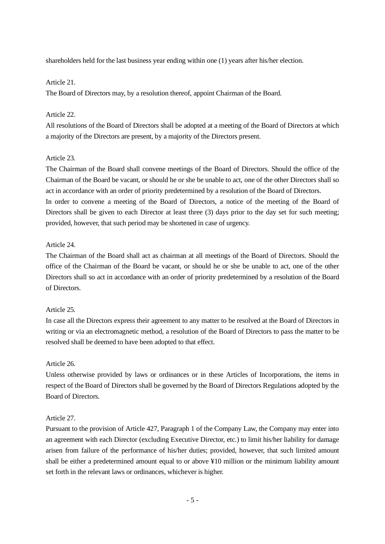shareholders held for the last business year ending within one (1) years after his/her election.

### Article 21.

The Board of Directors may, by a resolution thereof, appoint Chairman of the Board.

## Article 22.

All resolutions of the Board of Directors shall be adopted at a meeting of the Board of Directors at which a majority of the Directors are present, by a majority of the Directors present.

## Article 23.

The Chairman of the Board shall convene meetings of the Board of Directors. Should the office of the Chairman of the Board be vacant, or should he or she be unable to act, one of the other Directors shall so act in accordance with an order of priority predetermined by a resolution of the Board of Directors.

In order to convene a meeting of the Board of Directors, a notice of the meeting of the Board of Directors shall be given to each Director at least three (3) days prior to the day set for such meeting; provided, however, that such period may be shortened in case of urgency.

## Article 24.

The Chairman of the Board shall act as chairman at all meetings of the Board of Directors. Should the office of the Chairman of the Board be vacant, or should he or she be unable to act, one of the other Directors shall so act in accordance with an order of priority predetermined by a resolution of the Board of Directors.

#### Article 25.

In case all the Directors express their agreement to any matter to be resolved at the Board of Directors in writing or via an electromagnetic method, a resolution of the Board of Directors to pass the matter to be resolved shall be deemed to have been adopted to that effect.

#### Article 26.

Unless otherwise provided by laws or ordinances or in these Articles of Incorporations, the items in respect of the Board of Directors shall be governed by the Board of Directors Regulations adopted by the Board of Directors.

## Article 27.

Pursuant to the provision of Article 427, Paragraph 1 of the Company Law, the Company may enter into an agreement with each Director (excluding Executive Director, etc.) to limit his/her liability for damage arisen from failure of the performance of his/her duties; provided, however, that such limited amount shall be either a predetermined amount equal to or above ¥10 million or the minimum liability amount set forth in the relevant laws or ordinances, whichever is higher.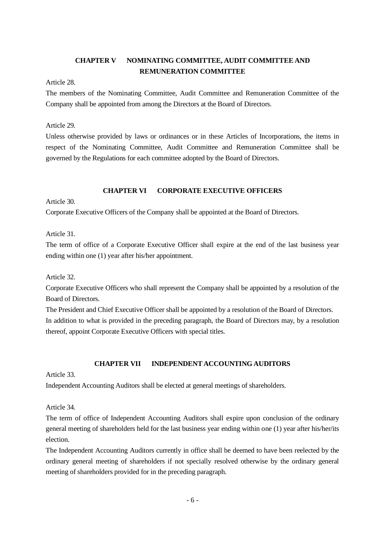# **CHAPTER V NOMINATING COMMITTEE, AUDIT COMMITTEE AND REMUNERATION COMMITTEE**

Article 28.

The members of the Nominating Committee, Audit Committee and Remuneration Committee of the Company shall be appointed from among the Directors at the Board of Directors.

Article 29.

Unless otherwise provided by laws or ordinances or in these Articles of Incorporations, the items in respect of the Nominating Committee, Audit Committee and Remuneration Committee shall be governed by the Regulations for each committee adopted by the Board of Directors.

## **CHAPTER VI CORPORATE EXECUTIVE OFFICERS**

Article 30.

Corporate Executive Officers of the Company shall be appointed at the Board of Directors.

Article 31.

The term of office of a Corporate Executive Officer shall expire at the end of the last business year ending within one (1) year after his/her appointment.

Article 32.

Corporate Executive Officers who shall represent the Company shall be appointed by a resolution of the Board of Directors.

The President and Chief Executive Officer shall be appointed by a resolution of the Board of Directors. In addition to what is provided in the preceding paragraph, the Board of Directors may, by a resolution thereof, appoint Corporate Executive Officers with special titles.

## **CHAPTER VII INDEPENDENT ACCOUNTING AUDITORS**

Article 33.

Independent Accounting Auditors shall be elected at general meetings of shareholders.

Article 34.

The term of office of Independent Accounting Auditors shall expire upon conclusion of the ordinary general meeting of shareholders held for the last business year ending within one (1) year after his/her/its election.

The Independent Accounting Auditors currently in office shall be deemed to have been reelected by the ordinary general meeting of shareholders if not specially resolved otherwise by the ordinary general meeting of shareholders provided for in the preceding paragraph.